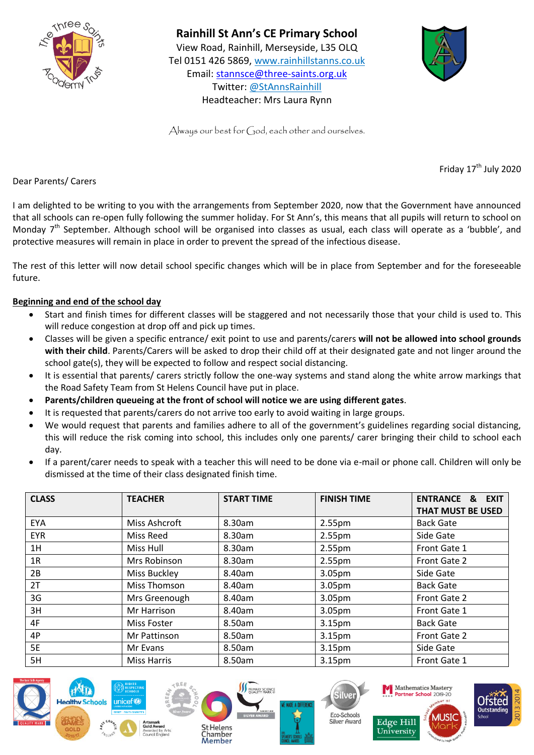



Always our best for God, each other and ourselves.

Friday  $17<sup>th</sup>$  July 2020

Dear Parents/ Carers

I am delighted to be writing to you with the arrangements from September 2020, now that the Government have announced that all schools can re-open fully following the summer holiday. For St Ann's, this means that all pupils will return to school on Monday  $7<sup>th</sup>$  September. Although school will be organised into classes as usual, each class will operate as a 'bubble', and protective measures will remain in place in order to prevent the spread of the infectious disease.

The rest of this letter will now detail school specific changes which will be in place from September and for the foreseeable future.

# **Beginning and end of the school day**

- Start and finish times for different classes will be staggered and not necessarily those that your child is used to. This will reduce congestion at drop off and pick up times.
- Classes will be given a specific entrance/ exit point to use and parents/carers **will not be allowed into school grounds with their child**. Parents/Carers will be asked to drop their child off at their designated gate and not linger around the school gate(s), they will be expected to follow and respect social distancing.
- It is essential that parents/ carers strictly follow the one-way systems and stand along the white arrow markings that the Road Safety Team from St Helens Council have put in place.
- **Parents/children queueing at the front of school will notice we are using different gates**.
- It is requested that parents/carers do not arrive too early to avoid waiting in large groups.
- We would request that parents and families adhere to all of the government's guidelines regarding social distancing, this will reduce the risk coming into school, this includes only one parents/ carer bringing their child to school each day.
- If a parent/carer needs to speak with a teacher this will need to be done via e-mail or phone call. Children will only be dismissed at the time of their class designated finish time.

| <b>CLASS</b> | <b>TEACHER</b>       | <b>START TIME</b> | <b>FINISH TIME</b> | <b>ENTRANCE &amp;</b><br><b>EXIT</b><br><b>THAT MUST BE USED</b> |
|--------------|----------------------|-------------------|--------------------|------------------------------------------------------------------|
| <b>EYA</b>   | <b>Miss Ashcroft</b> | 8.30am            | 2.55 <sub>pm</sub> | <b>Back Gate</b>                                                 |
| <b>EYR</b>   | Miss Reed            | 8.30am            | 2.55 <sub>pm</sub> | Side Gate                                                        |
| 1H           | Miss Hull            | 8.30am            | 2.55 <sub>pm</sub> | Front Gate 1                                                     |
| 1R           | Mrs Robinson         | 8.30am            | 2.55pm             | Front Gate 2                                                     |
| 2B           | Miss Buckley         | 8.40am            | 3.05pm             | Side Gate                                                        |
| 2T           | Miss Thomson         | 8.40am            | 3.05pm             | <b>Back Gate</b>                                                 |
| 3G           | Mrs Greenough        | 8.40am            | 3.05pm             | Front Gate 2                                                     |
| 3H           | Mr Harrison          | 8.40am            | 3.05pm             | Front Gate 1                                                     |
| 4F           | Miss Foster          | 8.50am            | 3.15 <sub>pm</sub> | <b>Back Gate</b>                                                 |
| 4P           | Mr Pattinson         | 8.50am            | 3.15pm             | Front Gate 2                                                     |
| <b>5E</b>    | Mr Evans             | 8.50am            | 3.15 <sub>pm</sub> | Side Gate                                                        |
| 5H           | <b>Miss Harris</b>   | 8.50am            | 3.15pm             | Front Gate 1                                                     |

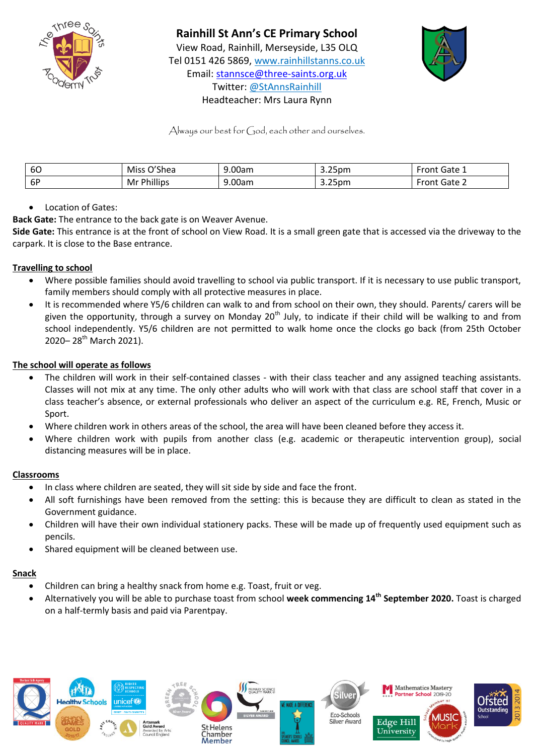



Always our best for God, each other and ourselves.

| 60 | <b><sub>ገ</sub></b> 'Shea<br>Miss | 9.00am | $\sim$ $\sim$<br>3.25pm | `Gate ⊥<br>ron  |
|----|-----------------------------------|--------|-------------------------|-----------------|
| 6P | $\cdots$<br><b>Phillips</b><br>Mr | 9.00am | 3.25pm                  | `Gate ∠<br>ron. |

# Location of Gates:

**Back Gate:** The entrance to the back gate is on Weaver Avenue.

**Side Gate:** This entrance is at the front of school on View Road. It is a small green gate that is accessed via the driveway to the carpark. It is close to the Base entrance.

# **Travelling to school**

- Where possible families should avoid travelling to school via public transport. If it is necessary to use public transport, family members should comply with all protective measures in place.
- It is recommended where Y5/6 children can walk to and from school on their own, they should. Parents/ carers will be given the opportunity, through a survey on Monday  $20^{th}$  July, to indicate if their child will be walking to and from school independently. Y5/6 children are not permitted to walk home once the clocks go back (from 25th October 2020– 28<sup>th</sup> March 2021).

#### **The school will operate as follows**

- The children will work in their self-contained classes with their class teacher and any assigned teaching assistants. Classes will not mix at any time. The only other adults who will work with that class are school staff that cover in a class teacher's absence, or external professionals who deliver an aspect of the curriculum e.g. RE, French, Music or Sport.
- Where children work in others areas of the school, the area will have been cleaned before they access it.
- Where children work with pupils from another class (e.g. academic or therapeutic intervention group), social distancing measures will be in place.

#### **Classrooms**

- In class where children are seated, they will sit side by side and face the front.
- All soft furnishings have been removed from the setting: this is because they are difficult to clean as stated in the Government guidance.
- Children will have their own individual stationery packs. These will be made up of frequently used equipment such as pencils.
- Shared equipment will be cleaned between use.

#### **Snack**

- Children can bring a healthy snack from home e.g. Toast, fruit or veg.
- Alternatively you will be able to purchase toast from school **week commencing 14th September 2020.** Toast is charged on a half-termly basis and paid via Parentpay.

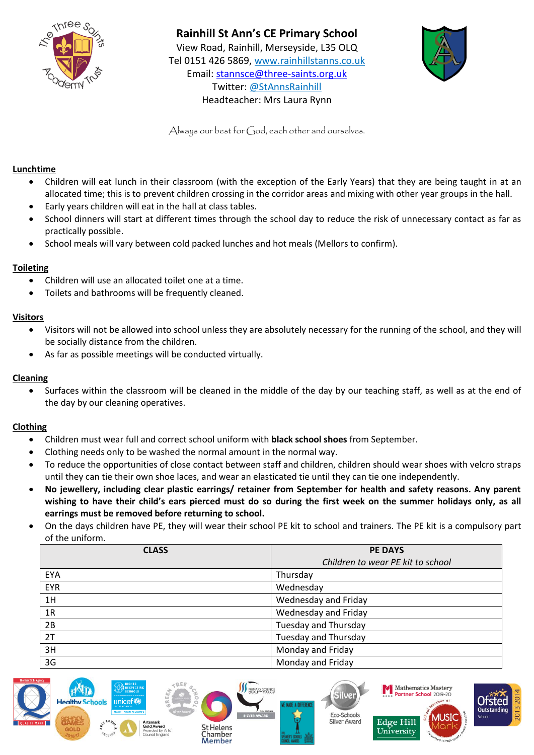



Always our best for God, each other and ourselves.

#### **Lunchtime**

- Children will eat lunch in their classroom (with the exception of the Early Years) that they are being taught in at an allocated time; this is to prevent children crossing in the corridor areas and mixing with other year groups in the hall.
- Early years children will eat in the hall at class tables.
- School dinners will start at different times through the school day to reduce the risk of unnecessary contact as far as practically possible.
- School meals will vary between cold packed lunches and hot meals (Mellors to confirm).

#### **Toileting**

- Children will use an allocated toilet one at a time.
- Toilets and bathrooms will be frequently cleaned.

#### **Visitors**

- Visitors will not be allowed into school unless they are absolutely necessary for the running of the school, and they will be socially distance from the children.
- As far as possible meetings will be conducted virtually.

#### **Cleaning**

 Surfaces within the classroom will be cleaned in the middle of the day by our teaching staff, as well as at the end of the day by our cleaning operatives.

#### **Clothing**

- Children must wear full and correct school uniform with **black school shoes** from September.
- Clothing needs only to be washed the normal amount in the normal way.
- To reduce the opportunities of close contact between staff and children, children should wear shoes with velcro straps until they can tie their own shoe laces, and wear an elasticated tie until they can tie one independently.
- **No jewellery, including clear plastic earrings/ retainer from September for health and safety reasons. Any parent wishing to have their child's ears pierced must do so during the first week on the summer holidays only, as all earrings must be removed before returning to school.**
- On the days children have PE, they will wear their school PE kit to school and trainers. The PE kit is a compulsory part of the uniform.

| <b>CLASS</b> | <b>PE DAYS</b>                    |
|--------------|-----------------------------------|
|              | Children to wear PE kit to school |
| EYA          | Thursday                          |
| <b>EYR</b>   | Wednesday                         |
| 1H           | Wednesday and Friday              |
| 1R           | Wednesday and Friday              |
| 2B           | Tuesday and Thursday              |
| 2T           | Tuesday and Thursday              |
| 3H           | Monday and Friday                 |
| 3G           | Monday and Friday                 |

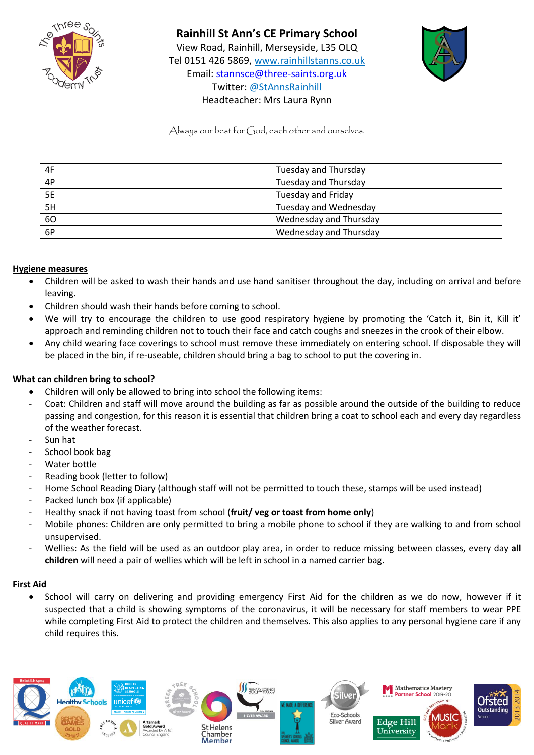



Always our best for God, each other and ourselves.

| 4F | Tuesday and Thursday         |
|----|------------------------------|
| 4P | Tuesday and Thursday         |
| 5E | Tuesday and Friday           |
| 5H | <b>Tuesday and Wednesday</b> |
| 60 | Wednesday and Thursday       |
| 6P | Wednesday and Thursday       |

# **Hygiene measures**

- Children will be asked to wash their hands and use hand sanitiser throughout the day, including on arrival and before leaving.
- Children should wash their hands before coming to school.
- We will try to encourage the children to use good respiratory hygiene by promoting the 'Catch it, Bin it, Kill it' approach and reminding children not to touch their face and catch coughs and sneezes in the crook of their elbow.
- Any child wearing face coverings to school must remove these immediately on entering school. If disposable they will be placed in the bin, if re-useable, children should bring a bag to school to put the covering in.

#### **What can children bring to school?**

- Children will only be allowed to bring into school the following items:
- Coat: Children and staff will move around the building as far as possible around the outside of the building to reduce passing and congestion, for this reason it is essential that children bring a coat to school each and every day regardless of the weather forecast.
- Sun hat
- School book bag
- Water bottle
- Reading book (letter to follow)
- Home School Reading Diary (although staff will not be permitted to touch these, stamps will be used instead)
- Packed lunch box (if applicable)
- Healthy snack if not having toast from school (**fruit/ veg or toast from home only**)
- Mobile phones: Children are only permitted to bring a mobile phone to school if they are walking to and from school unsupervised.
- Wellies: As the field will be used as an outdoor play area, in order to reduce missing between classes, every day **all children** will need a pair of wellies which will be left in school in a named carrier bag.

#### **First Aid**

 School will carry on delivering and providing emergency First Aid for the children as we do now, however if it suspected that a child is showing symptoms of the coronavirus, it will be necessary for staff members to wear PPE while completing First Aid to protect the children and themselves. This also applies to any personal hygiene care if any child requires this.

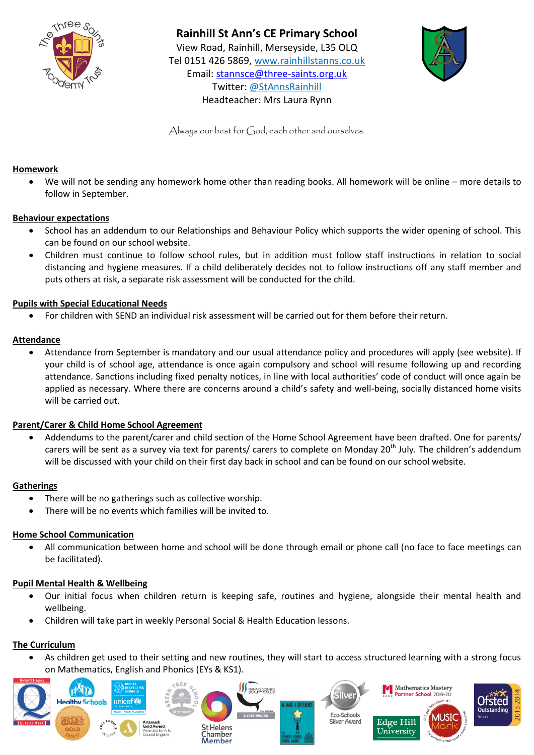



Always our best for God, each other and ourselves.

#### **Homework**

 We will not be sending any homework home other than reading books. All homework will be online – more details to follow in September.

# **Behaviour expectations**

- School has an addendum to our Relationships and Behaviour Policy which supports the wider opening of school. This can be found on our school website.
- Children must continue to follow school rules, but in addition must follow staff instructions in relation to social distancing and hygiene measures. If a child deliberately decides not to follow instructions off any staff member and puts others at risk, a separate risk assessment will be conducted for the child.

#### **Pupils with Special Educational Needs**

For children with SEND an individual risk assessment will be carried out for them before their return.

# **Attendance**

 Attendance from September is mandatory and our usual attendance policy and procedures will apply (see website). If your child is of school age, attendance is once again compulsory and school will resume following up and recording attendance. Sanctions including fixed penalty notices, in line with local authorities' code of conduct will once again be applied as necessary. Where there are concerns around a child's safety and well-being, socially distanced home visits will be carried out.

# **Parent/Carer & Child Home School Agreement**

 Addendums to the parent/carer and child section of the Home School Agreement have been drafted. One for parents/ carers will be sent as a survey via text for parents/ carers to complete on Monday 20<sup>th</sup> July. The children's addendum will be discussed with your child on their first day back in school and can be found on our school website.

# **Gatherings**

- There will be no gatherings such as collective worship.
- There will be no events which families will be invited to.

#### **Home School Communication**

 All communication between home and school will be done through email or phone call (no face to face meetings can be facilitated).

#### **Pupil Mental Health & Wellbeing**

- Our initial focus when children return is keeping safe, routines and hygiene, alongside their mental health and wellbeing.
- Children will take part in weekly Personal Social & Health Education lessons.

# **The Curriculum**

 As children get used to their setting and new routines, they will start to access structured learning with a strong focus on Mathematics, English and Phonics (EYs & KS1).

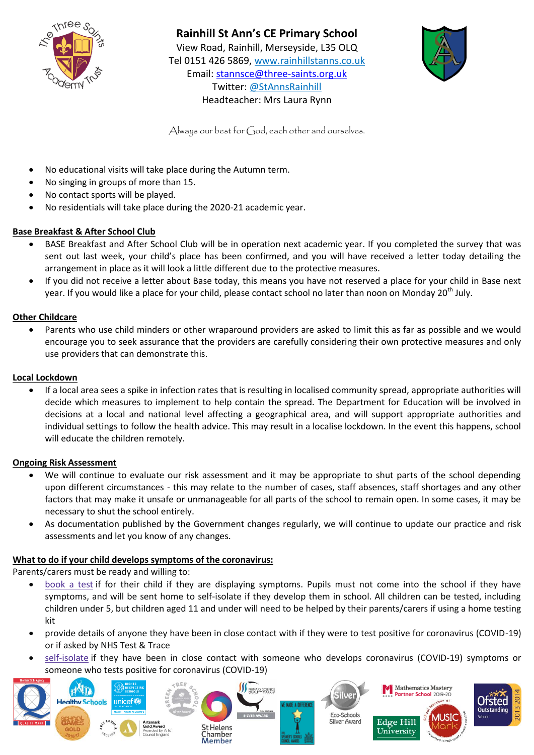

# **Rainhill St Ann's CE Primary School**

View Road, Rainhill, Merseyside, L35 OLQ Tel 0151 426 5869, [www.rainhillstanns.co.uk](http://www.rainhillstanns.co.uk/) Email: [stannsce@three-saints.org.uk](mailto:stannsce@three-saints.org.uk) Twitter: @StAnnsRainhill Headteacher: Mrs Laura Rynn



Always our best for God, each other and ourselves.

- No educational visits will take place during the Autumn term.
- No singing in groups of more than 15.
- No contact sports will be played.
- No residentials will take place during the 2020-21 academic year.

# **Base Breakfast & After School Club**

- BASE Breakfast and After School Club will be in operation next academic year. If you completed the survey that was sent out last week, your child's place has been confirmed, and you will have received a letter today detailing the arrangement in place as it will look a little different due to the protective measures.
- If you did not receive a letter about Base today, this means you have not reserved a place for your child in Base next year. If you would like a place for your child, please contact school no later than noon on Monday 20<sup>th</sup> July.

# **Other Childcare**

 Parents who use child minders or other wraparound providers are asked to limit this as far as possible and we would encourage you to seek assurance that the providers are carefully considering their own protective measures and only use providers that can demonstrate this.

# **Local Lockdown**

 If a local area sees a spike in infection rates that is resulting in localised community spread, appropriate authorities will decide which measures to implement to help contain the spread. The Department for Education will be involved in decisions at a local and national level affecting a geographical area, and will support appropriate authorities and individual settings to follow the health advice. This may result in a localise lockdown. In the event this happens, school will educate the children remotely.

# **Ongoing Risk Assessment**

- We will continue to evaluate our risk assessment and it may be appropriate to shut parts of the school depending upon different circumstances - this may relate to the number of cases, staff absences, staff shortages and any other factors that may make it unsafe or unmanageable for all parts of the school to remain open. In some cases, it may be necessary to shut the school entirely.
- As documentation published by the Government changes regularly, we will continue to update our practice and risk assessments and let you know of any changes.

# **What to do if your child develops symptoms of the coronavirus:**

Parents/carers must be ready and willing to:

- [book](https://www.gov.uk/guidance/coronavirus-covid-19-getting-tested) a test if for their child if they are displaying symptoms. Pupils must not come into the school if they have symptoms, and will be sent home to self-isolate if they develop them in school. All children can be tested, including children under 5, but children aged 11 and under will need to be helped by their parents/carers if using a home testing kit
- provide details of anyone they have been in close contact with if they were to test positive for coronavirus (COVID-19) or if asked by NHS Test & Trace
- [self-isolate](https://www.gov.uk/government/publications/covid-19-stay-at-home-guidance/stay-at-home-guidance-for-households-with-possible-coronavirus-covid-19-infection) if they have been in close contact with someone who develops coronavirus (COVID-19) symptoms or someone who tests positive for coronavirus (COVID-19)